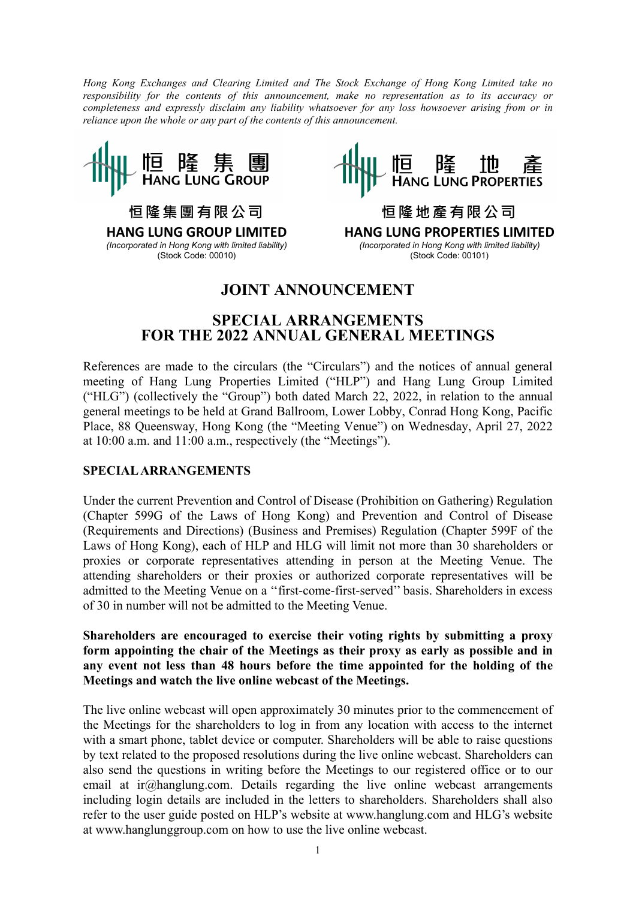Hong Kong Exchanges and Clearing Limited and The Stock Exchange of Hong Kong Limited take no responsibility for the contents of this announcement, make no representation as to its accuracy or completeness and expressly disclaim any liability whatsoever for any loss howsoever arising from or in reliance upon the whole or any part of the contents of this announcement.



恒 隆 集 團 有 限 公 司 HANG LUNG GROUP LIMITED (Incorporated in Hong Kong with limited liability) (Stock Code: 00010)



恒 隆 地 產 有 限 公 司 HANG LUNG PROPERTIES LIMITED (Incorporated in Hong Kong with limited liability) (Stock Code: 00101)

# JOINT ANNOUNCEMENT

## SPECIAL ARRANGEMENTS FOR THE 2022 ANNUAL GENERAL MEETINGS

References are made to the circulars (the "Circulars") and the notices of annual general meeting of Hang Lung Properties Limited ("HLP") and Hang Lung Group Limited ("HLG") (collectively the "Group") both dated March 22, 2022, in relation to the annual general meetings to be held at Grand Ballroom, Lower Lobby, Conrad Hong Kong, Pacific Place, 88 Queensway, Hong Kong (the "Meeting Venue") on Wednesday, April 27, 2022 at 10:00 a.m. and 11:00 a.m., respectively (the "Meetings").

#### SPECIAL ARRANGEMENTS

Under the current Prevention and Control of Disease (Prohibition on Gathering) Regulation (Chapter 599G of the Laws of Hong Kong) and Prevention and Control of Disease (Requirements and Directions) (Business and Premises) Regulation (Chapter 599F of the Laws of Hong Kong), each of HLP and HLG will limit not more than 30 shareholders or proxies or corporate representatives attending in person at the Meeting Venue. The attending shareholders or their proxies or authorized corporate representatives will be admitted to the Meeting Venue on a ''first-come-first-served'' basis. Shareholders in excess of 30 in number will not be admitted to the Meeting Venue.

Shareholders are encouraged to exercise their voting rights by submitting a proxy form appointing the chair of the Meetings as their proxy as early as possible and in any event not less than 48 hours before the time appointed for the holding of the Meetings and watch the live online webcast of the Meetings.

The live online webcast will open approximately 30 minutes prior to the commencement of the Meetings for the shareholders to log in from any location with access to the internet with a smart phone, tablet device or computer. Shareholders will be able to raise questions by text related to the proposed resolutions during the live online webcast. Shareholders can also send the questions in writing before the Meetings to our registered office or to our email at ir $@$ hanglung.com. Details regarding the live online webcast arrangements including login details are included in the letters to shareholders. Shareholders shall also refer to the user guide posted on HLP's website at www.hanglung.com and HLG's website at www.hanglunggroup.com on how to use the live online webcast.